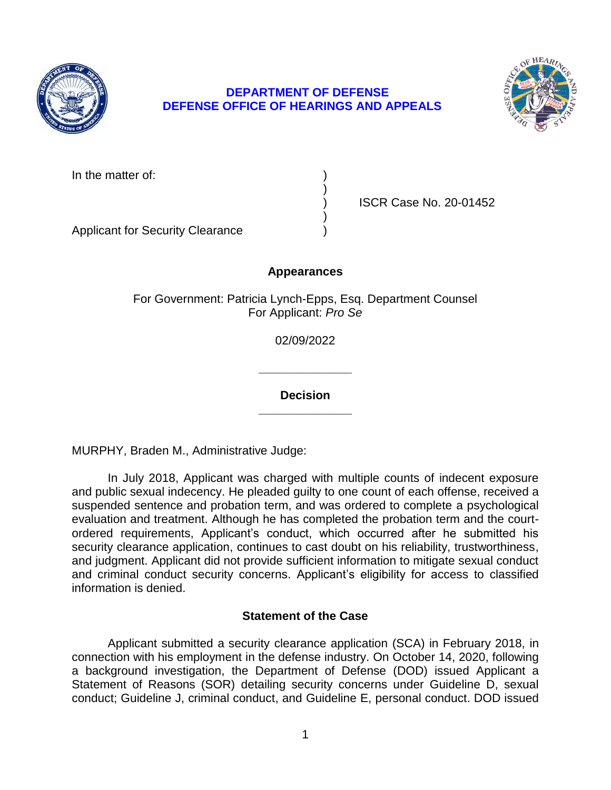

# **DEPARTMENT OF DEFENSE DEFENSE OFFICE OF HEARINGS AND APPEALS**



In the matter of:

) ISCR Case No. 20-01452

Applicant for Security Clearance )

## **Appearances**

)

)

For Government: Patricia Lynch-Epps, Esq. Department Counsel For Applicant: *Pro Se* 

02/09/2022

**\_\_\_\_\_\_\_\_\_\_\_\_\_\_** 

**\_\_\_\_\_\_\_\_\_\_\_\_\_\_ Decision** 

MURPHY, Braden M., Administrative Judge:

 In July 2018, Applicant was charged with multiple counts of indecent exposure and public sexual indecency. He pleaded guilty to one count of each offense, received a suspended sentence and probation term, and was ordered to complete a psychological evaluation and treatment. Although he has completed the probation term and the court- ordered requirements, Applicant's conduct, which occurred after he submitted his security clearance application, continues to cast doubt on his reliability, trustworthiness, and judgment. Applicant did not provide sufficient information to mitigate sexual conduct and criminal conduct security concerns. Applicant's eligibility for access to classified information is denied.

## **Statement of the Case**

 Applicant submitted a security clearance application (SCA) in February 2018, in connection with his employment in the defense industry. On October 14, 2020, following conduct; Guideline J, criminal conduct, and Guideline E, personal conduct. DOD issued a background investigation, the Department of Defense (DOD) issued Applicant a Statement of Reasons (SOR) detailing security concerns under Guideline D, sexual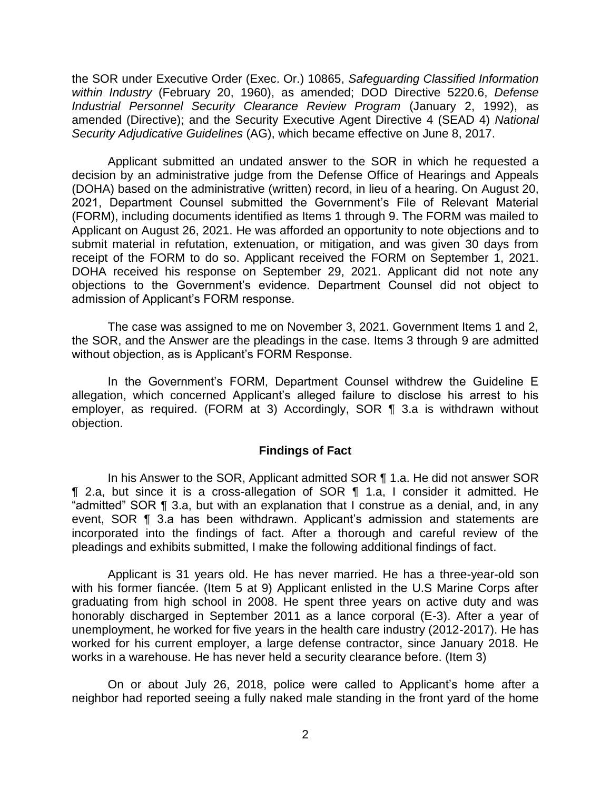the SOR under Executive Order (Exec. Or.) 10865, *Safeguarding Classified Information within Industry* (February 20, 1960), as amended; DOD Directive 5220.6, *Defense Industrial Personnel Security Clearance Review Program* (January 2, 1992), as amended (Directive); and the Security Executive Agent Directive 4 (SEAD 4) *National Security Adjudicative Guidelines* (AG), which became effective on June 8, 2017.

 Applicant submitted an undated answer to the SOR in which he requested a decision by an administrative judge from the Defense Office of Hearings and Appeals (DOHA) based on the administrative (written) record, in lieu of a hearing. On August 20, 2021, Department Counsel submitted the Government's File of Relevant Material (FORM), including documents identified as Items 1 through 9. The FORM was mailed to Applicant on August 26, 2021. He was afforded an opportunity to note objections and to submit material in refutation, extenuation, or mitigation, and was given 30 days from receipt of the FORM to do so. Applicant received the FORM on September 1, 2021. DOHA received his response on September 29, 2021. Applicant did not note any objections to the Government's evidence. Department Counsel did not object to admission of Applicant's FORM response.

 The case was assigned to me on November 3, 2021. Government Items 1 and 2, the SOR, and the Answer are the pleadings in the case. Items 3 through 9 are admitted without objection, as is Applicant's FORM Response.

 In the Government's FORM, Department Counsel withdrew the Guideline E allegation, which concerned Applicant's alleged failure to disclose his arrest to his employer, as required. (FORM at 3) Accordingly, SOR ¶ 3.a is withdrawn without objection.

#### **Findings of Fact**

 ¶ 2.a, but since it is a cross-allegation of SOR ¶ 1.a, I consider it admitted. He "admitted" SOR ¶ 3.a, but with an explanation that I construe as a denial, and, in any event, SOR ¶ 3.a has been withdrawn. Applicant's admission and statements are incorporated into the findings of fact. After a thorough and careful review of the In his Answer to the SOR, Applicant admitted SOR ¶ 1.a. He did not answer SOR pleadings and exhibits submitted, I make the following additional findings of fact.

 with his former fiancée. (Item 5 at 9) Applicant enlisted in the U.S Marine Corps after graduating from high school in 2008. He spent three years on active duty and was honorably discharged in September 2011 as a lance corporal (E-3). After a year of unemployment, he worked for five years in the health care industry (2012-2017). He has worked for his current employer, a large defense contractor, since January 2018. He Applicant is 31 years old. He has never married. He has a three-year-old son works in a warehouse. He has never held a security clearance before. (Item 3)

 On or about July 26, 2018, police were called to Applicant's home after a neighbor had reported seeing a fully naked male standing in the front yard of the home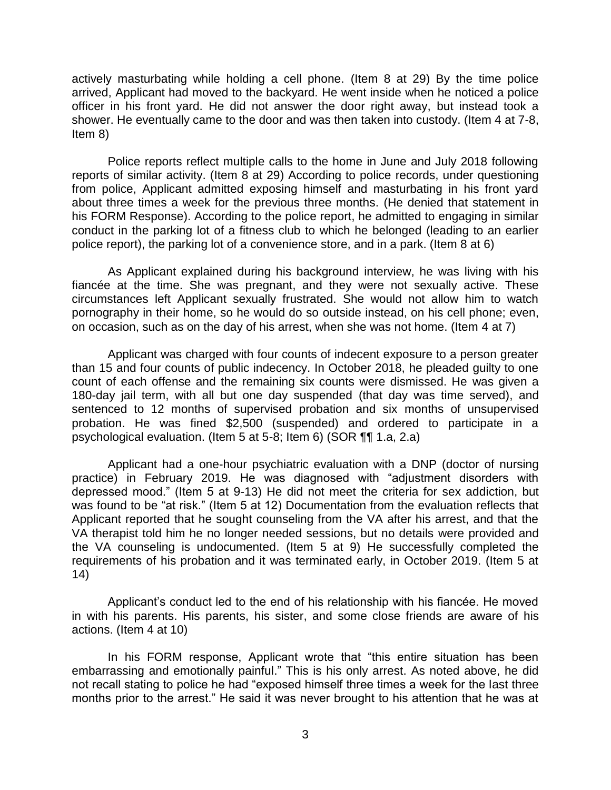actively masturbating while holding a cell phone. (Item 8 at 29) By the time police arrived, Applicant had moved to the backyard. He went inside when he noticed a police officer in his front yard. He did not answer the door right away, but instead took a shower. He eventually came to the door and was then taken into custody. (Item 4 at 7-8, Item 8)

 Police reports reflect multiple calls to the home in June and July 2018 following reports of similar activity. (Item 8 at 29) According to police records, under questioning from police, Applicant admitted exposing himself and masturbating in his front yard about three times a week for the previous three months. (He denied that statement in his FORM Response). According to the police report, he admitted to engaging in similar conduct in the parking lot of a fitness club to which he belonged (leading to an earlier police report), the parking lot of a convenience store, and in a park. (Item 8 at 6)

 As Applicant explained during his background interview, he was living with his fiancée at the time. She was pregnant, and they were not sexually active. These circumstances left Applicant sexually frustrated. She would not allow him to watch pornography in their home, so he would do so outside instead, on his cell phone; even, on occasion, such as on the day of his arrest, when she was not home. (Item 4 at 7)

 Applicant was charged with four counts of indecent exposure to a person greater than 15 and four counts of public indecency. In October 2018, he pleaded guilty to one count of each offense and the remaining six counts were dismissed. He was given a 180-day jail term, with all but one day suspended (that day was time served), and sentenced to 12 months of supervised probation and six months of unsupervised probation. He was fined \$2,500 (suspended) and ordered to participate in a psychological evaluation. (Item 5 at 5-8; Item 6) (SOR ¶¶ 1.a, 2.a)

 Applicant had a one-hour psychiatric evaluation with a DNP (doctor of nursing practice) in February 2019. He was diagnosed with "adjustment disorders with depressed mood." (Item 5 at 9-13) He did not meet the criteria for sex addiction, but was found to be "at risk." (Item 5 at 12) Documentation from the evaluation reflects that Applicant reported that he sought counseling from the VA after his arrest, and that the VA therapist told him he no longer needed sessions, but no details were provided and the VA counseling is undocumented. (Item 5 at 9) He successfully completed the requirements of his probation and it was terminated early, in October 2019. (Item 5 at 14)

 Applicant's conduct led to the end of his relationship with his fiancée. He moved in with his parents. His parents, his sister, and some close friends are aware of his actions. (Item 4 at 10)

 In his FORM response, Applicant wrote that "this entire situation has been embarrassing and emotionally painful." This is his only arrest. As noted above, he did not recall stating to police he had "exposed himself three times a week for the last three months prior to the arrest." He said it was never brought to his attention that he was at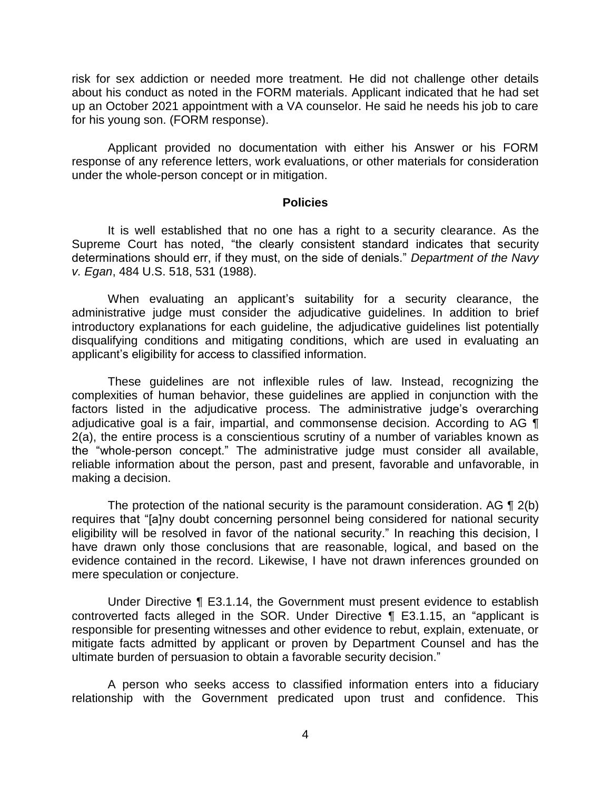risk for sex addiction or needed more treatment. He did not challenge other details about his conduct as noted in the FORM materials. Applicant indicated that he had set up an October 2021 appointment with a VA counselor. He said he needs his job to care for his young son. (FORM response).

 Applicant provided no documentation with either his Answer or his FORM response of any reference letters, work evaluations, or other materials for consideration under the whole-person concept or in mitigation.

#### **Policies**

 It is well established that no one has a right to a security clearance. As the Supreme Court has noted, "the clearly consistent standard indicates that security determinations should err, if they must, on the side of denials." *Department of the Navy v. Egan*, 484 U.S. 518, 531 (1988).

 administrative judge must consider the adjudicative guidelines. In addition to brief introductory explanations for each guideline, the adjudicative guidelines list potentially disqualifying conditions and mitigating conditions, which are used in evaluating an When evaluating an applicant's suitability for a security clearance, the applicant's eligibility for access to classified information.

 These guidelines are not inflexible rules of law. Instead, recognizing the complexities of human behavior, these guidelines are applied in conjunction with the factors listed in the adjudicative process. The administrative judge's overarching adjudicative goal is a fair, impartial, and commonsense decision. According to AG  $\P$  2(a), the entire process is a conscientious scrutiny of a number of variables known as the "whole-person concept." The administrative judge must consider all available, reliable information about the person, past and present, favorable and unfavorable, in making a decision.

The protection of the national security is the paramount consideration. AG  $\P$  2(b) eligibility will be resolved in favor of the national security." In reaching this decision, I have drawn only those conclusions that are reasonable, logical, and based on the evidence contained in the record. Likewise, I have not drawn inferences grounded on requires that "[a]ny doubt concerning personnel being considered for national security mere speculation or conjecture.

 Under Directive ¶ E3.1.14, the Government must present evidence to establish controverted facts alleged in the SOR. Under Directive ¶ E3.1.15, an "applicant is responsible for presenting witnesses and other evidence to rebut, explain, extenuate, or mitigate facts admitted by applicant or proven by Department Counsel and has the ultimate burden of persuasion to obtain a favorable security decision."

 A person who seeks access to classified information enters into a fiduciary relationship with the Government predicated upon trust and confidence. This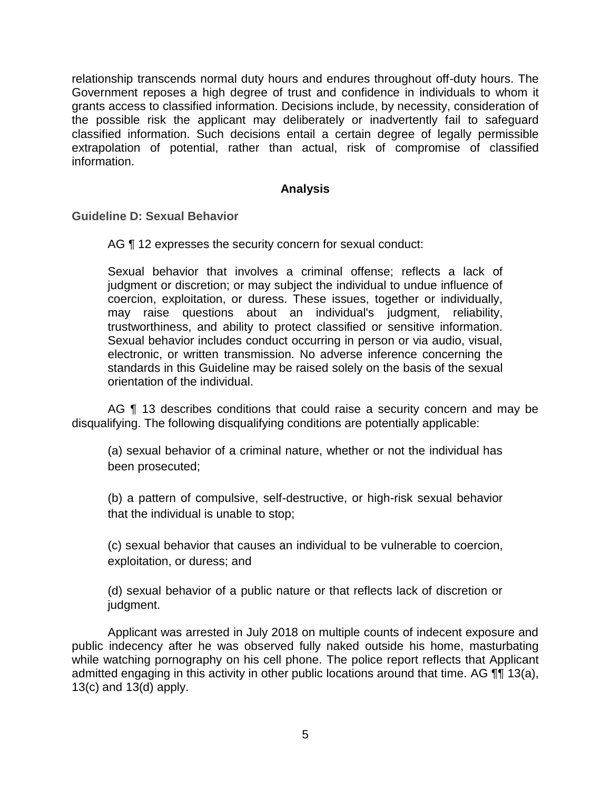relationship transcends normal duty hours and endures throughout off-duty hours. The Government reposes a high degree of trust and confidence in individuals to whom it grants access to classified information. Decisions include, by necessity, consideration of the possible risk the applicant may deliberately or inadvertently fail to safeguard classified information. Such decisions entail a certain degree of legally permissible extrapolation of potential, rather than actual, risk of compromise of classified information.

## **Analysis**

**Guideline D: Sexual Behavior** 

AG ¶ 12 expresses the security concern for sexual conduct:

 Sexual behavior that involves a criminal offense; reflects a lack of judgment or discretion; or may subject the individual to undue influence of may raise questions about an individual's judgment, reliability, trustworthiness, and ability to protect classified or sensitive information. Sexual behavior includes conduct occurring in person or via audio, visual, electronic, or written transmission. No adverse inference concerning the standards in this Guideline may be raised solely on the basis of the sexual coercion, exploitation, or duress. These issues, together or individually, orientation of the individual.

AG ¶ 13 describes conditions that could raise a security concern and may be disqualifying. The following disqualifying conditions are potentially applicable:

(a) sexual behavior of a criminal nature, whether or not the individual has been prosecuted;

(b) a pattern of compulsive, self-destructive, or high-risk sexual behavior that the individual is unable to stop;

(c) sexual behavior that causes an individual to be vulnerable to coercion, exploitation, or duress; and

(d) sexual behavior of a public nature or that reflects lack of discretion or judgment.

 Applicant was arrested in July 2018 on multiple counts of indecent exposure and public indecency after he was observed fully naked outside his home, masturbating while watching pornography on his cell phone. The police report reflects that Applicant admitted engaging in this activity in other public locations around that time. AG ¶¶ 13(a), 13(c) and 13(d) apply.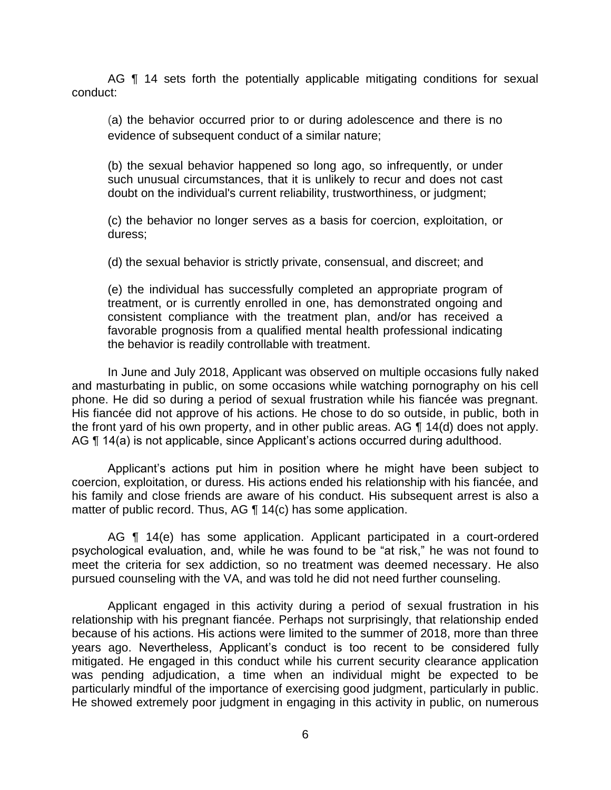AG **[1** 14 sets forth the potentially applicable mitigating conditions for sexual conduct:

 (a) the behavior occurred prior to or during adolescence and there is no evidence of subsequent conduct of a similar nature;

 (b) the sexual behavior happened so long ago, so infrequently, or under such unusual circumstances, that it is unlikely to recur and does not cast doubt on the individual's current reliability, trustworthiness, or judgment;

 (c) the behavior no longer serves as a basis for coercion, exploitation, or duress;

(d) the sexual behavior is strictly private, consensual, and discreet; and

 (e) the individual has successfully completed an appropriate program of treatment, or is currently enrolled in one, has demonstrated ongoing and consistent compliance with the treatment plan, and/or has received a favorable prognosis from a qualified mental health professional indicating the behavior is readily controllable with treatment.

 In June and July 2018, Applicant was observed on multiple occasions fully naked and masturbating in public, on some occasions while watching pornography on his cell phone. He did so during a period of sexual frustration while his fiancée was pregnant. His fiancée did not approve of his actions. He chose to do so outside, in public, both in the front yard of his own property, and in other public areas. AG  $\P$  14(d) does not apply. AG ¶ 14(a) is not applicable, since Applicant's actions occurred during adulthood.

 Applicant's actions put him in position where he might have been subject to his family and close friends are aware of his conduct. His subsequent arrest is also a coercion, exploitation, or duress. His actions ended his relationship with his fiancée, and matter of public record. Thus, AG ¶ 14(c) has some application.

 AG ¶ 14(e) has some application. Applicant participated in a court-ordered psychological evaluation, and, while he was found to be "at risk," he was not found to meet the criteria for sex addiction, so no treatment was deemed necessary. He also pursued counseling with the VA, and was told he did not need further counseling.

 Applicant engaged in this activity during a period of sexual frustration in his because of his actions. His actions were limited to the summer of 2018, more than three years ago. Nevertheless, Applicant's conduct is too recent to be considered fully mitigated. He engaged in this conduct while his current security clearance application was pending adjudication, a time when an individual might be expected to be particularly mindful of the importance of exercising good judgment, particularly in public. He showed extremely poor judgment in engaging in this activity in public, on numerous relationship with his pregnant fiancée. Perhaps not surprisingly, that relationship ended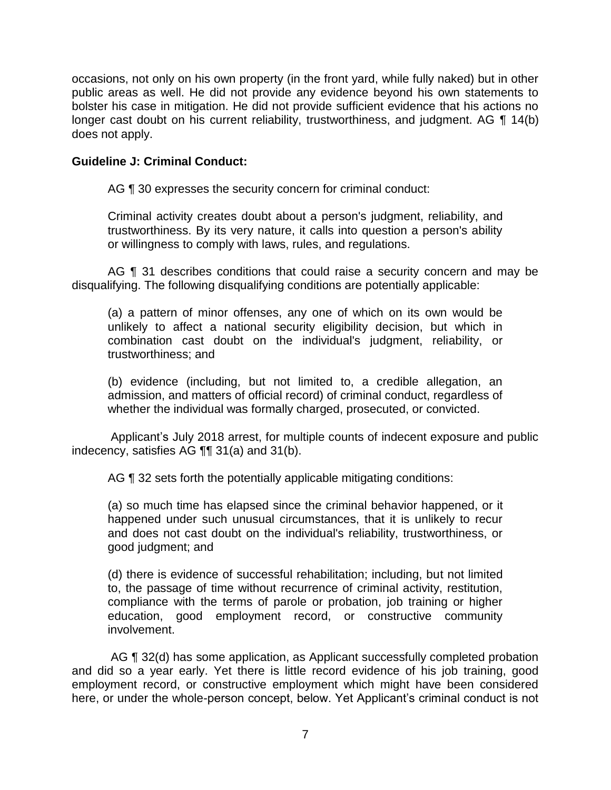occasions, not only on his own property (in the front yard, while fully naked) but in other public areas as well. He did not provide any evidence beyond his own statements to bolster his case in mitigation. He did not provide sufficient evidence that his actions no longer cast doubt on his current reliability, trustworthiness, and judgment. AG ¶ 14(b) does not apply.

## **Guideline J: Criminal Conduct:**

AG ¶ 30 expresses the security concern for criminal conduct:

Criminal activity creates doubt about a person's judgment, reliability, and trustworthiness. By its very nature, it calls into question a person's ability or willingness to comply with laws, rules, and regulations.

AG ¶ 31 describes conditions that could raise a security concern and may be disqualifying. The following disqualifying conditions are potentially applicable:

(a) a pattern of minor offenses, any one of which on its own would be unlikely to affect a national security eligibility decision, but which in combination cast doubt on the individual's judgment, reliability, or trustworthiness; and

 (b) evidence (including, but not limited to, a credible allegation, an admission, and matters of official record) of criminal conduct, regardless of whether the individual was formally charged, prosecuted, or convicted.

 Applicant's July 2018 arrest, for multiple counts of indecent exposure and public indecency, satisfies AG ¶¶ 31(a) and 31(b).

AG  $\P$  32 sets forth the potentially applicable mitigating conditions:

(a) so much time has elapsed since the criminal behavior happened, or it happened under such unusual circumstances, that it is unlikely to recur and does not cast doubt on the individual's reliability, trustworthiness, or good judgment; and

 (d) there is evidence of successful rehabilitation; including, but not limited to, the passage of time without recurrence of criminal activity, restitution, compliance with the terms of parole or probation, job training or higher education, good employment record, or constructive community involvement.

AG ¶ 32(d) has some application, as Applicant successfully completed probation and did so a year early. Yet there is little record evidence of his job training, good employment record, or constructive employment which might have been considered here, or under the whole-person concept, below. Yet Applicant's criminal conduct is not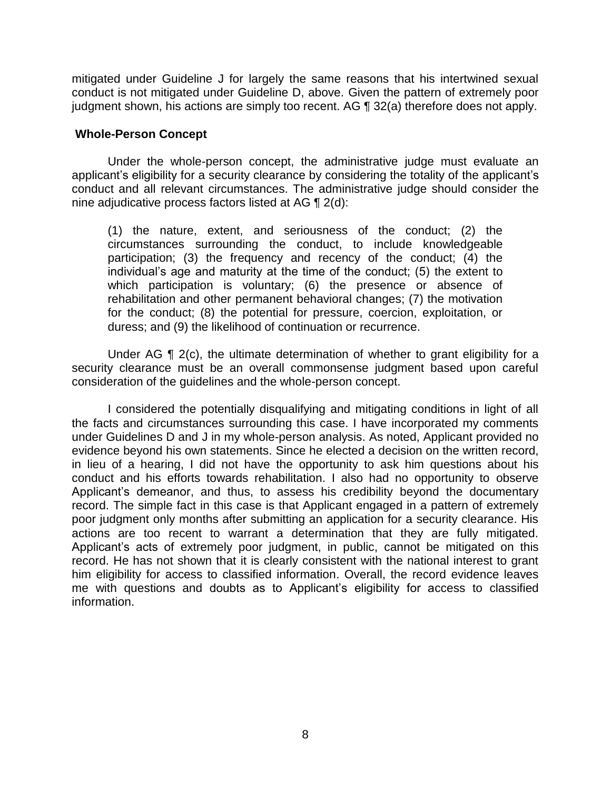mitigated under Guideline J for largely the same reasons that his intertwined sexual conduct is not mitigated under Guideline D, above. Given the pattern of extremely poor judgment shown, his actions are simply too recent. AG ¶ 32(a) therefore does not apply.

#### **Whole-Person Concept**

 Under the whole-person concept, the administrative judge must evaluate an applicant's eligibility for a security clearance by considering the totality of the applicant's conduct and all relevant circumstances. The administrative judge should consider the nine adjudicative process factors listed at AG ¶ 2(d):

(1) the nature, extent, and seriousness of the conduct; (2) the circumstances surrounding the conduct, to include knowledgeable participation; (3) the frequency and recency of the conduct; (4) the individual's age and maturity at the time of the conduct; (5) the extent to which participation is voluntary; (6) the presence or absence of rehabilitation and other permanent behavioral changes; (7) the motivation for the conduct; (8) the potential for pressure, coercion, exploitation, or duress; and (9) the likelihood of continuation or recurrence.

Under AG  $\P$  2(c), the ultimate determination of whether to grant eligibility for a security clearance must be an overall commonsense judgment based upon careful consideration of the guidelines and the whole-person concept.

 I considered the potentially disqualifying and mitigating conditions in light of all the facts and circumstances surrounding this case. I have incorporated my comments under Guidelines D and J in my whole-person analysis. As noted, Applicant provided no evidence beyond his own statements. Since he elected a decision on the written record, in lieu of a hearing, I did not have the opportunity to ask him questions about his conduct and his efforts towards rehabilitation. I also had no opportunity to observe Applicant's demeanor, and thus, to assess his credibility beyond the documentary record. The simple fact in this case is that Applicant engaged in a pattern of extremely poor judgment only months after submitting an application for a security clearance. His actions are too recent to warrant a determination that they are fully mitigated. Applicant's acts of extremely poor judgment, in public, cannot be mitigated on this record. He has not shown that it is clearly consistent with the national interest to grant him eligibility for access to classified information. Overall, the record evidence leaves me with questions and doubts as to Applicant's eligibility for access to classified information.